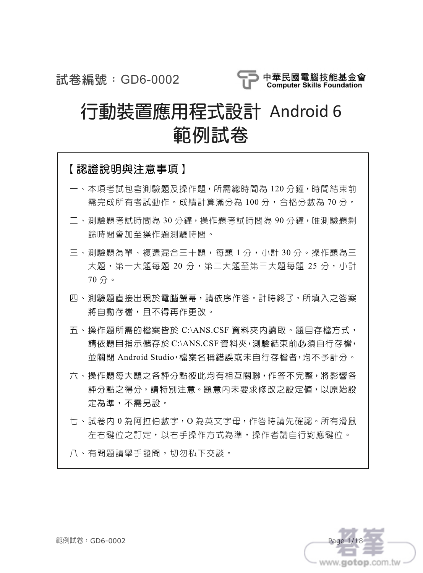試卷編號:GD6-0002



# 行動裝置應用程式設計 Android 6 範例試卷

| 【認證說明與注意事項】                                                                                                                 |
|-----------------------------------------------------------------------------------------------------------------------------|
| 一、本項考試包含測驗題及操作題,所需總時間為 120 分鐘,時間結束前<br>需完成所有考試動作。成績計算滿分為 100 分,合格分數為 70 分。                                                  |
| 二、測驗題考試時間為 30 分鐘, 操作題考試時間為 90 分鐘, 唯測驗題剩<br>餘時間會加至操作題測驗時間。                                                                   |
| 三、測驗題為單、複選混合三十題,每題 1 分,小計 30 分。操作題為三<br>大題,第一大題每題 20 分,第二大題至第三大題每題 25 分,小計<br>70分。                                          |
| 四、測驗題直接出現於電腦螢幕,請依序作答。計時終了,所填入之答案<br>將自動存檔,且不得再作更改。                                                                          |
| 五、操作題所需的檔案皆於 C:\ANS.CSF 資料夾内讀取。題目存檔方式,<br>請依題目指示儲存於 C:\ANS.CSF 資料夾, 測驗結束前必須自行存檔,<br>並關閉 Android Studio,檔案名稱錯誤或未自行存檔者,均不予計分。 |
| 六、操作題每大題之各評分點彼此均有相互關聯,作答不完整,將影響各<br><b>評分點之得分,請特別注意。題意内未要求修改之設定値,以原始設</b><br>定為進,不需另設。                                      |
| 七、試卷内 0 為阿拉伯數字,O 為英文字母,作答時請先確認。所有滑鼠<br>左右鍵位之訂定,以右手操作方式為準,操作者請自行對應鍵位。                                                        |
| 八、有問題請舉手發問,切勿私下交談。                                                                                                          |



範例試卷:GD6-0002 Page 1/18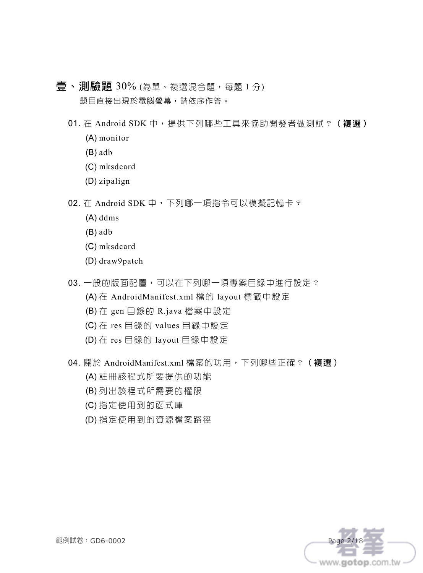- 青、測驗題 30% (為單、複選混合題,每題 1分) 題目直接出現於電腦螢幕,請依序作答。
	- 01. 在 Android SDK 中, 提供下列哪些工具來協助開發者做測試? (複選) (A) monitor
		- (B) adb
		- (C) mksdcard
		- (D) zipalign
	- 02. 在 Android SDK 中,下列哪一項指令可以模擬記憶卡?
		- (A) ddms
		- (B) adb
		- (C) mksdcard
		- (D) draw9patch
	- 03. 一般的版面配置,可以在下列哪一項專案目錄中進行設定?
		- (A) 在 AndroidManifest.xml 檔的 layout 標籤中設定
		- (B) 在 gen 目錄的 R.java 檔案中設定
		- (C) 在 res 目錄的 values 目錄中設定
		- (D) 在 res 目錄的 layout 目錄中設定
	- 04. 關於 AndroidManifest.xml 檔案的功用,下列哪些正確? (複選)
		- (A) 註冊該程式所要提供的功能
		- (B) 列出該程式所需要的權限
		- (C) 指定使用到的函式庫
		- (D) 指定使用到的資源檔案路徑

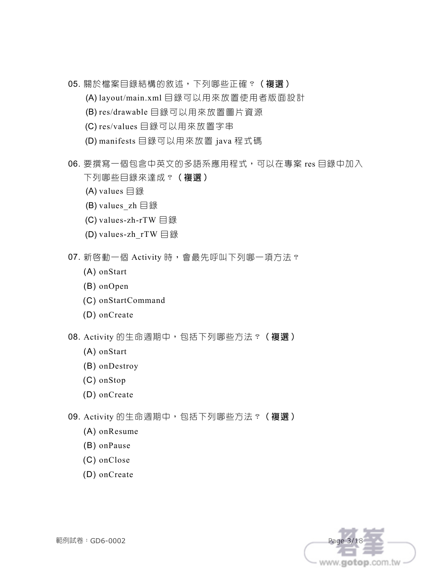- 05. 關於檔案目錄結構的敘述,下列哪些正確? (複選)
	- (A) layout/main.xml 目錄可以用來放置使用者版面設計
	- (B) res/drawable 目錄可以用來放置圖片資源
	- (C) res/values 目錄可以用來放置字串
	- (D) manifests 目錄可以用來放置 java 程式碼
- 06. 要撰寫一個包含中英文的多語系應用程式,可以在專案 res 目錄中加入 下列哪些目錄來達成?(複選)
	- (A) values 目錄
	- (B) values  $zh \rightrightarrows$  3
	- (C) values-zh-rTW 目錄
	- (D) values-zh\_rTW 目錄
- 07. 新啓動一個 Activity 時,會最先呼叫下列哪一項方法?
	- (A) onStart
	- (B) onOpen
	- (C) onStartCommand
	- (D) onCreate
- 08. Activity 的生命週期中,包括下列哪些方法?(複選)
	- (A) onStart
	- (B) onDestroy
	- (C) onStop
	- (D) onCreate
- 09. Activity 的生命週期中,包括下列哪些方法?(複選)
	- (A) onResume
	- (B) onPause
	- (C) onClose
	- (D) onCreate

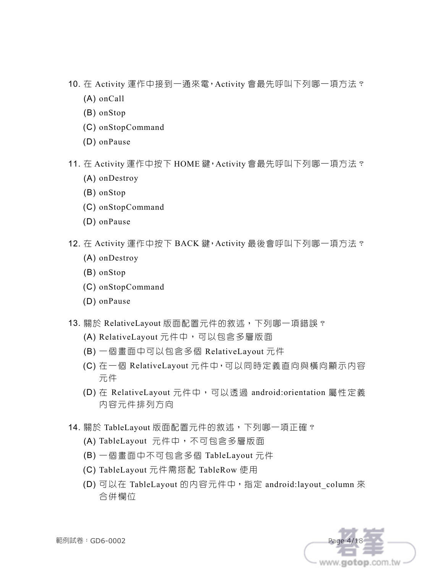- 10. 在 Activity 運作中接到一通來電,Activity 會最先呼叫下列哪一項方法?
	- (A) onCall
	- (B) onStop
	- (C) onStopCommand
	- (D) onPause
- 11. 在 Activity 運作中按下 HOME 鍵, Activity 會最先呼叫下列哪一項方法?
	- (A) onDestroy
	- (B) onStop
	- (C) onStopCommand
	- (D) onPause
- 12. 在 Activity 運作中按下 BACK 鍵, Activity 最後會呼叫下列哪一項方法?
	- (A) onDestroy
	- (B) onStop
	- (C) onStopCommand
	- (D) onPause
- 13. 關於 RelativeLayout 版面配置元件的敘述, 下列哪一項錯誤?
	- (A) RelativeLayout 元件中,可以包含多層版面
	- (B) 一個畫面中可以包含多個 RelativeLayout 元件
	- (C) 在一個 RelativeLayout 元件中,可以同時定義直向與橫向顯示內容 元件
	- (D) 在 RelativeLayout 元件中,可以透過 android:orientation 屬性定義 內容元件排列方向
- 14. 關於 TableLayout 版面配置元件的敘述, 下列哪一項正確?
	- (A) TableLayout 元件中,不可包含多層版面
	- (B) 一個畫面中不可包含多個 TableLayout 元件
	- (C) TableLayout 元件需搭配 TableRow 使用
	- (D) 可以在 TableLayout 的内容元件中, 指定 android:layout column 來 合併欄位

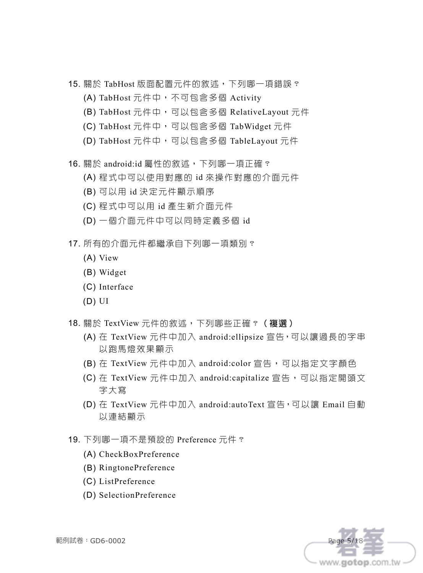- 15. 關於 TabHost 版面配置元件的敘述, 下列哪一項錯誤?
	- (A) TabHost 元件中,不可包含多個 Activity
	- (B) TabHost 元件中,可以包含多個 RelativeLayout 元件
	- (C) TabHost 元件中,可以包含多個 TabWidget 元件
	- (D) TabHost 元件中,可以包含多個 TableLayout 元件
- 16. 關於 android:id 屬性的敘述, 下列哪一項正確?
	- (A) 程式中可以使用對應的 id 來操作對應的介面元件
	- (B) 可以用 id 決定元件顯示順序
	- (C) 程式中可以用 id 產生新介面元件
	- (D) 一個介面元件中可以同時定義多個 id
- 17. 所有的介面元件都繼承自下列哪一項類別?
	- (A) View
	- (B) Widget
	- (C) Interface
	- (D) UI
- 18. 關於 TextView 元件的敘述, 下列哪些正確? (複選)
	- (A) 在 TextView 元件中加入 android:ellipsize 宣告,可以讓過長的字串 以跑馬燈效果顯示
	- (B) 在 TextView 元件中加入 android:color 宣告,可以指定文字顏色
	- (C) 在 TextView 元件中加入 android:capitalize 宣告,可以指定開頭文 字大寫
	- (D) 在 TextView 元件中加入 android:autoText 宣告,可以讓 Email 自動 以連結顯示
- 19. 下列哪一項不是預設的 Preference 元件?
	- (A) CheckBoxPreference
	- (B) RingtonePreference
	- (C) ListPreference
	- (D) SelectionPreference

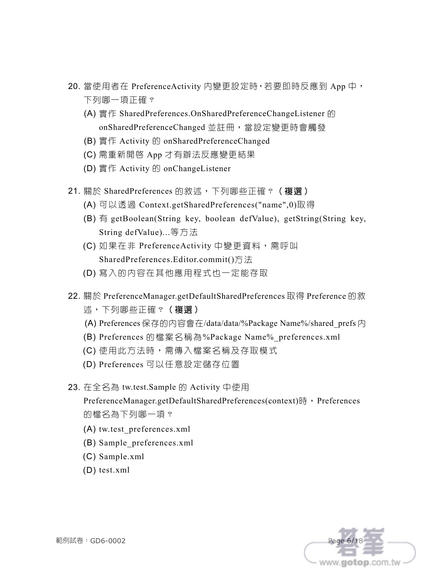- 20. 當使用者在 PreferenceActivity 內變更設定時,若要即時反應到 App 中, 下列哪一項正確?
	- (A) 實作 SharedPreferences.OnSharedPreferenceChangeListener 的 onSharedPreferenceChanged 並註冊,當設定變更時會觸發
	- (B) 實作 Activity 的 onSharedPreferenceChanged
	- (C) 需重新開啟 App 才有辦法反應變更結果
	- (D) 實作 Activity 的 onChangeListener
- 21. 關於 SharedPreferences 的敘述, 下列哪些正確?(複選)
	- (A) 可以透過 Context.getSharedPreferences("name",0)取得
	- (B) 有 getBoolean(String key, boolean defValue), getString(String key, String defValue)...等方法
	- (C) 如果在非 PreferenceActivity 中變更資料,需呼叫 SharedPreferences.Editor.commit()方法
	- (D) 寫入的內容在其他應用程式也一定能存取
- 22. 關於 PreferenceManager.getDefaultSharedPreferences 取得 Preference 的敘 述,下列哪些正確?(複選)
	- (A) Preferences 保存的內容會在/data/data/%Package Name%/shared\_prefs 內
	- (B) Preferences 的檔案名稱為%Package Name%\_preferences.xml
	- (C) 使用此方法時,需傳入檔案名稱及存取模式
	- (D) Preferences 可以任意設定儲存位置
- 23. 在全名為 tw.test.Sample 的 Activity 中使用

PreferenceManager.getDefaultSharedPreferences(context)時,Preferences 的檔名為下列哪一項?

- (A) tw.test\_preferences.xml
- (B) Sample\_preferences.xml
- (C) Sample.xml
- (D) test.xml

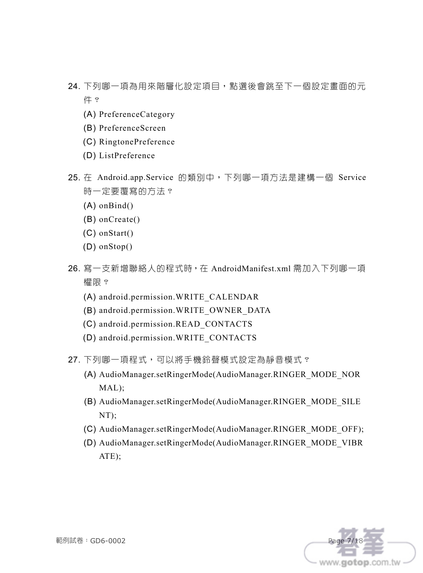- 24. 下列哪一項為用來階層化設定項目,點選後會跳至下一個設定畫面的元 件?
	- (A) PreferenceCategory
	- (B) PreferenceScreen
	- (C) RingtonePreference
	- (D) ListPreference
- 25. 在 Android.app.Service 的類別中,下列哪一項方法是建構一個 Service 時一定要覆寫的方法?
	- (A) onBind()
	- (B) onCreate()
	- (C) onStart()
	- (D) onStop()
- 26. 寫一支新增聯絡人的程式時,在 AndroidManifest.xml 需加入下列哪一項 權限?
	- (A) android.permission.WRITE\_CALENDAR
	- (B) android.permission.WRITE\_OWNER\_DATA
	- (C) android.permission.READ\_CONTACTS
	- (D) android.permission.WRITE\_CONTACTS
- 27. 下列哪一項程式,可以將手機鈴聲模式設定為靜音模式?
	- (A) AudioManager.setRingerMode(AudioManager.RINGER\_MODE\_NOR MAL);
	- (B) AudioManager.setRingerMode(AudioManager.RINGER\_MODE\_SILE NT);
	- (C) AudioManager.setRingerMode(AudioManager.RINGER\_MODE\_OFF);
	- (D) AudioManager.setRingerMode(AudioManager.RINGER\_MODE\_VIBR ATE);

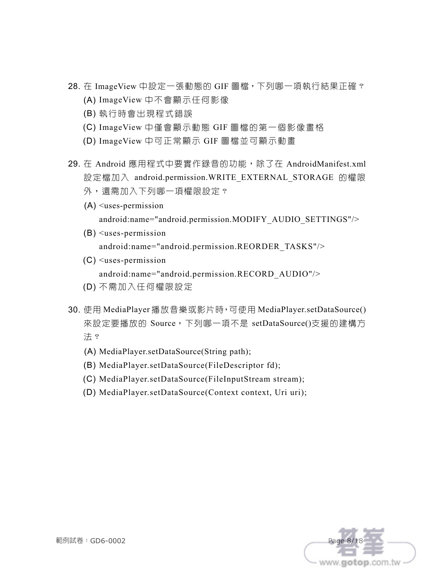- 28. 在 ImageView 中設定一張動態的 GIF 圖檔,下列哪一項執行結果正確? (A) ImageView 中不會顯示任何影像
	- (B) 執行時會出現程式錯誤
	- (C) ImageView 中僅會顯示動態 GIF 圖檔的第一個影像畫格
	- (D) ImageView 中可正常顯示 GIF 圖檔並可顯示動畫
- 29. 在 Android 應用程式中要實作錄音的功能,除了在 AndroidManifest.xml 設定檔加入 android.permission.WRITE\_EXTERNAL\_STORAGE 的權限 外,還需加入下列哪一項權限設定?
	- (A) <uses-permission android:name="android.permission.MODIFY\_AUDIO\_SETTINGS"/>
	- (B) <uses-permission android:name="android.permission.REORDER\_TASKS"/>
	- (C) <uses-permission android:name="android.permission.RECORD\_AUDIO"/>
	- (D) 不需加入任何權限設定
- 30. 使用 MediaPlayer 播放音樂或影片時,可使用 MediaPlayer.setDataSource() 來設定要播放的 Source,下列哪一項不是 setDataSource()支援的建構方 法?
	- (A) MediaPlayer.setDataSource(String path);
	- (B) MediaPlayer.setDataSource(FileDescriptor fd);
	- (C) MediaPlayer.setDataSource(FileInputStream stream);
	- (D) MediaPlayer.setDataSource(Context context, Uri uri);

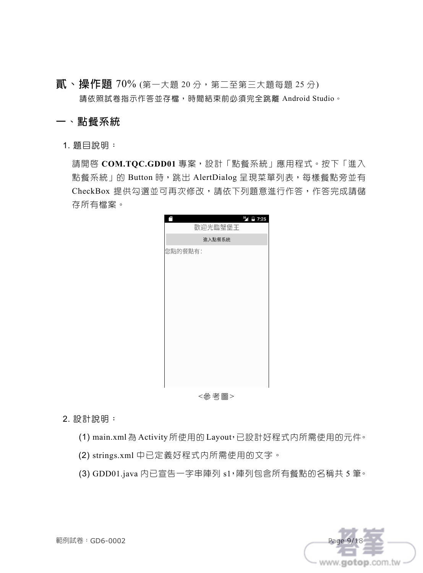$\overrightarrow{R}$ 、操作題 70% (第一大題 20分,第二至第三大題每題 25分) 請依照試卷指示作答並存檔,時間結束前必須完全跳離 Android Studio。

#### 一、點餐系統

1. 題目說明:

請開啟 **COM.TQC.GDD01** 專案,設計「點餐系統」應用程式。按下「進入 點餐系統」的 Button 時, 跳出 AlertDialog 呈現菜單列表, 每樣餐點旁並有 CheckBox 提供勾選並可再次修改,請依下列題意進行作答,作答完成請儲 存所有檔案。



2. 設計說明:

(1) main.xml 為 Activity 所使用的 Layout,已設計好程式內所需使用的元件。

- (2) strings.xml 中已定義好程式內所需使用的文字。
- (3) GDD01.java 內已宣告一字串陣列 s1,陣列包含所有餐點的名稱共 5 筆。

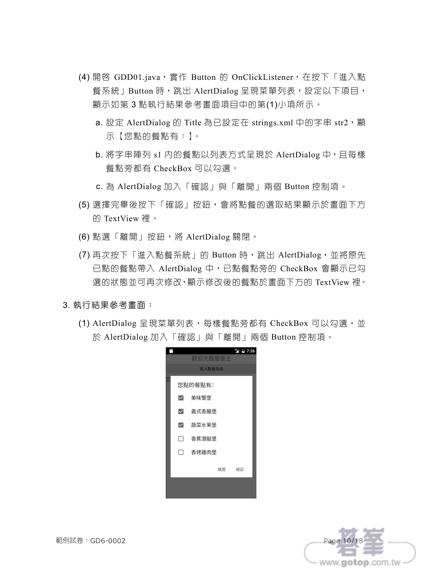- (4) 開啓 GDD01.java,實作 Button 的 OnClickListener,在按下「進入點 餐系統」Button 時,跳出 AlertDialog 呈現菜單列表,設定以下項目, 顯示如第 3 點執行結果參考畫面項目中的第(1)小項所示。
	- a. 設定 AlertDialog 的 Title 為已設定在 strings.xml 中的字串 str2, 顯 示【您點的餐點有:】。
	- b. 將字串陣列 s1 內的餐點以列表方式呈現於 AlertDialog 中,且每樣 餐點旁都有 CheckBox 可以勾選。
	- c. 為 AlertDialog 加入「確認」與「離開」兩個 Button 控制項。
- (5) 選擇完畢後按下「確認」按鈕,會將點餐的選取結果顯示於畫面下方 的 TextView 裡。
- (6) 點選「離開」按鈕,將 AlertDialog 關閉。
- (7) 再次按下「進入點餐系統」的 Button 時, 跳出 AlertDialog, 並將原先 已點的餐點帶入 AlertDialog 中,已點餐點旁的 CheckBox 會顯示已勾 選的狀態並可再次修改,顯示修改後的餐點於畫面下方的 TextView 裡。
- 3. 執行結果參考畫面:
	- (1) AlertDialog 呈現菜單列表,每樣餐點旁都有 CheckBox 可以勾選,並 於 AlertDialog 加入「確認」與「離開」兩個 Button 控制項。





範例試卷:GD6-0002 Page 10/18 Page 10/18 Page 10/18 Page 10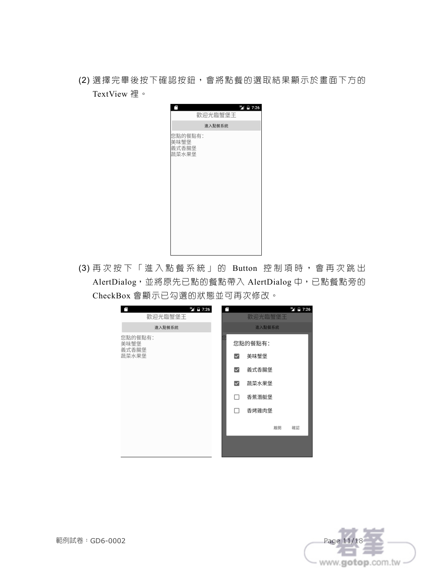(2) 選擇完畢後按下確認按鈕,會將點餐的選取結果顯示於畫面下方的 TextView 裡。

| $36$ 7:26<br>歡迎光臨蟹堡王              |  |
|-----------------------------------|--|
| 進入點餐系統                            |  |
| 您點的餐點有:<br>美味蟹堡<br>義式香腸堡<br>蔬菜水果堡 |  |

(3) 再次按下「進入點餐系統」的 Button 控制項時,會再次跳出 AlertDialog,並將原先已點的餐點帶入 AlertDialog 中,已點餐點旁的 CheckBox 會顯示已勾選的狀態並可再次修改。

| $36$ $\frac{1}{2}$ 7:26<br>Ê | $36$ $\frac{1}{2}$ 7:26<br>Æ   |
|------------------------------|--------------------------------|
| 歡迎光臨蟹堡王                      | 歡迎光臨蟹堡王                        |
| 進入點餐系統                       | 進入點餐系統                         |
| 您點的餐點有:<br>美味蟹堡<br>義式香腸堡     | 您點的餐點有:                        |
| 蔬菜水果堡                        | 美味蟹堡<br>$\blacktriangledown$   |
|                              | 義式香腸堡<br>$\blacktriangleright$ |
|                              | 蔬菜水果堡<br>$\blacktriangleright$ |
|                              | 香蕉潛艇堡<br>П                     |
|                              | 香烤雞肉堡<br>п                     |
|                              | 離開<br>確認                       |
|                              |                                |
|                              |                                |

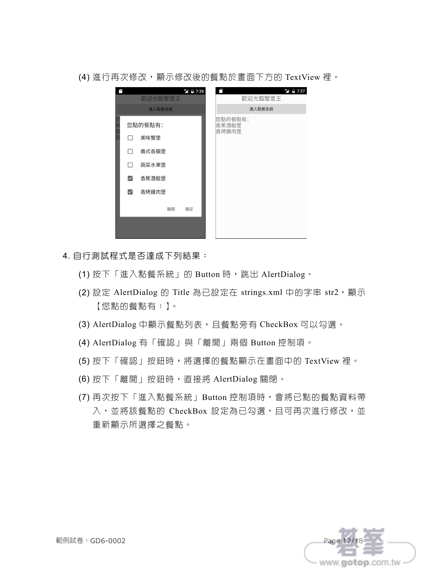

(4) 進行再次修改, 顯示修改後的餐點於畫面下方的 TextView 裡。

- 4. 自行測試程式是否達成下列結果:
	- (1) 按下「進入點餐系統」的 Button 時,跳出 AlertDialog。
	- (2) 設定 AlertDialog 的 Title 為已設定在 strings.xml 中的字串 str2,顯示 【您點的餐點有:】。
	- (3) AlertDialog 中顯示餐點列表, 且餐點旁有 CheckBox 可以勾選。
	- (4) AlertDialog 有「確認」與「離開」兩個 Button 控制項。
	- (5) 按下「確認」按鈕時,將選擇的餐點顯示在畫面中的 TextView 裡。
	- (6) 按下「離開」按鈕時,直接將 AlertDialog 關閉。
	- (7) 再次按下「進入點餐系統」Button 控制項時,會將已點的餐點資料帶 入,並將該餐點的 CheckBox 設定為已勾選,且可再次進行修改,並 重新顯示所選擇之餐點。

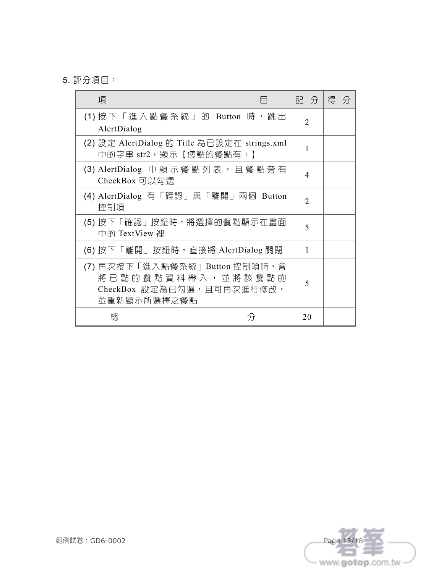5. 評分項目:

| 項                                                                                                              | 配 分            | 得<br>分 |
|----------------------------------------------------------------------------------------------------------------|----------------|--------|
| (1) 按下「進入點餐系統」的 Button 時,跳出<br>AlertDialog                                                                     | $\mathfrak{D}$ |        |
| (2) 設定 AlertDialog 的 Title 為已設定在 strings.xml<br>中的字串 str2,顯示【您點的餐點有:】                                          |                |        |
| (3) AlertDialog 中 顯 示 餐 點 列 表 , 且 餐 點 旁 有<br>CheckBox 可以勾選                                                     | 4              |        |
| (4) AlertDialog 有「確認」與「離開」兩個 Button<br>控制項                                                                     | $\mathfrak{D}$ |        |
| (5) 按下「確認」按鈕時,將選擇的餐點顯示在畫面<br>中的 TextView 裡                                                                     | 5              |        |
| (6) 按下「離開」按鈕時,直接將 AlertDialog 關閉                                                                               | 1              |        |
| (7) 再次按下「進入點餐系統」Button 控制項時,會<br>將 已 點 的 餐 點 資 料 帶 入 , 並 將 該 餐 點 的<br>CheckBox 設定為已勾選,且可再次進行修改,<br>並重新顯示所選擇之餐點 | 5              |        |
| 總<br>分                                                                                                         | 20             |        |

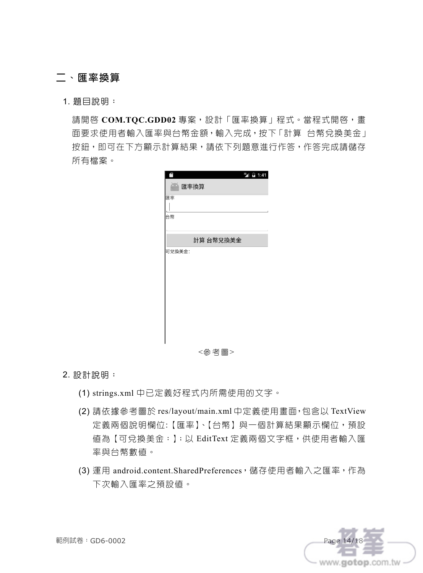### 二、匯率換算

1. 題目說明:

請開啟 **COM.TQC.GDD02** 專案,設計「匯率換算」程式。當程式開啟,畫 面要求使用者輸入匯率與台幣金額,輸入完成,按下「計算 台幣兌換美金」 按鈕,即可在下方顯示計算結果,請依下列題意進行作答,作答完成請儲存 所有檔案。

| œ<br>一 匯率換算 |           | $36$ 1:41 |
|-------------|-----------|-----------|
| 匯率          |           |           |
|             |           |           |
| 台幣          |           |           |
|             |           |           |
|             | 計算 台幣兌換美金 |           |
|             |           |           |
|             |           |           |

2. 設計說明:

- (1) strings.xml 中已定義好程式內所需使用的文字。
- (2) 請依據參考圖於 res/layout/main.xml 中定義使用畫面,包含以 TextView 定義兩個說明欄位:【匯率】、【台幣】與一個計算結果顯示欄位,預設 值為【可兌換美金:】;以 EditText 定義兩個文字框,供使用者輸入匯 率與台幣數值。
- (3) 運用 android.content.SharedPreferences, 儲存使用者輸入之匯率, 作為 下次輸入匯率之預設值。

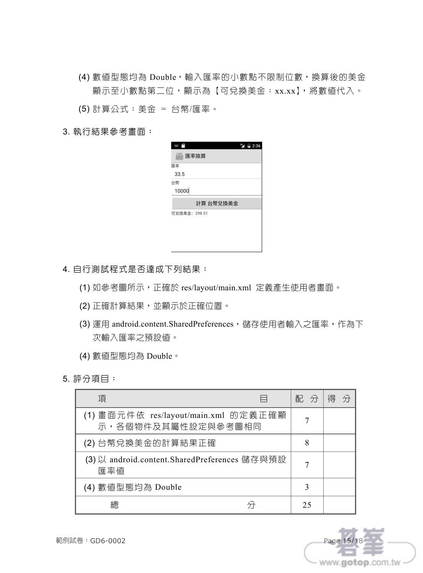(4) 數值型態均為 Double,輸入匯率的小數點不限制位數,換算後的美金 顯示至小數點第二位,顯示為【可兌換美金:xx.xx】,將數值代入。

(5) 計算公式:美金 = 台幣/匯率。

3. 執行結果參考畫面:

| 36 2:36<br>€<br>Į |
|-------------------|
| ò,<br>匯率換算        |
| 匯率                |
| 33.5              |
| 台幣                |
| 10000             |
|                   |
| 計算 台幣兌換美金         |
| 可兌換美金: 298.51     |
|                   |
|                   |
|                   |

4. 自行測試程式是否達成下列結果:

- (1) 如參考圖所示,正確於 res/layout/main.xml 定義產生使用者畫面。
- (2) 正確計算結果,並顯示於正確位置。
- (3) 運用 android.content.SharedPreferences, 儲存使用者輸入之匯率,作為下 次輸入匯率之預設值。
- (4) 數值型態均為 Double。
- 5. 評分項目:

| 項                                                          |  | 配  | 分 |  |
|------------------------------------------------------------|--|----|---|--|
| (1) 畫面元件依 res/layout/main.xml 的定義正確顯<br>示,各個物件及其屬性設定與參考圖相同 |  |    |   |  |
| (2) 台幣兌換美金的計算結果正確                                          |  | 8  |   |  |
| (3)以 android.content.SharedPreferences 儲存與預設<br>匯率値        |  |    |   |  |
| (4) 數值型態均為 Double                                          |  | 3  |   |  |
| 總                                                          |  | 25 |   |  |

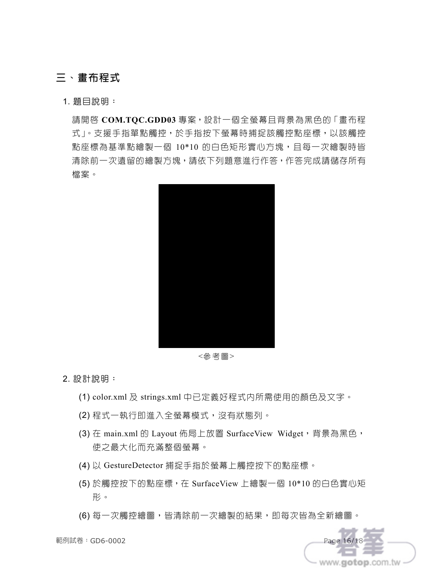## 三、畫布程式

1. 題目說明:

請開啟 **COM.TQC.GDD03** 專案,設計一個全螢幕且背景為黑色的「畫布程 式」。支援手指單點觸控,於手指按下螢幕時捕捉該觸控點座標,以該觸控 點座標為基準點繪製一個 10\*10 的白色矩形實心方塊,目每一次繪製時皆 清除前一次遺留的繪製方塊,請依下列題意進行作答,作答完成請儲存所有 檔案。



<參考圖>

2. 設計說明:

- (1) color.xml 及 strings.xml 中已定義好程式內所需使用的顏色及文字。
- (2) 程式一執行即進入全螢幕模式,沒有狀態列。
- (3) 在 main.xml 的 Layout 佈局上放置 SurfaceView Widget, 背景為黑色, 使之最大化而充滿整個螢幕。
- (4) 以 GestureDetector 捕捉手指於螢幕上觸控按下的點座標。
- (5) 於觸控按下的點座標,在 SurfaceView 上繪製一個 10\*10 的白色實心矩 形。
- (6) 每一次觸控繪圖,皆清除前一次繪製的結果,即每次皆為全新繪圖。

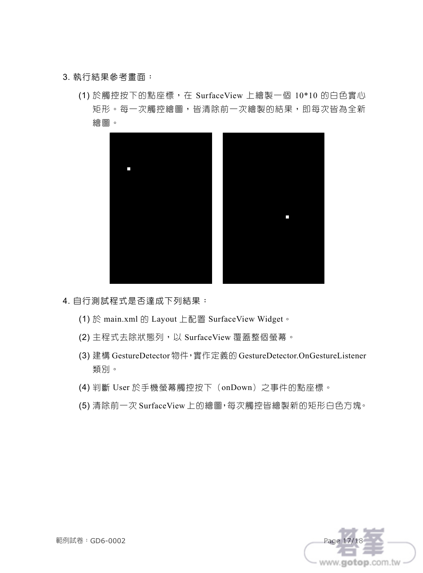#### 3. 執行結果參考畫面:

(1) 於觸控按下的點座標,在 SurfaceView 上繪製一個 10\*10 的白色實心 矩形。每一次觸控繪圖,皆清除前一次繪製的結果,即每次皆為全新 繪圖。



- 4. 自行測試程式是否達成下列結果:
	- (1) 於 main.xml 的 Layout 上配置 SurfaceView Widget。
	- (2) 主程式去除狀態列,以 SurfaceView 覆蓋整個螢幕。
	- (3) 建構 GestureDetector 物件,實作定義的 GestureDetector.OnGestureListener 類別。
	- (4) 判斷 User 於手機螢幕觸控按下(onDown)之事件的點座標。
	- (5) 清除前一次 SurfaceView 上的繪圖,每次觸控皆繪製新的矩形白色方塊。